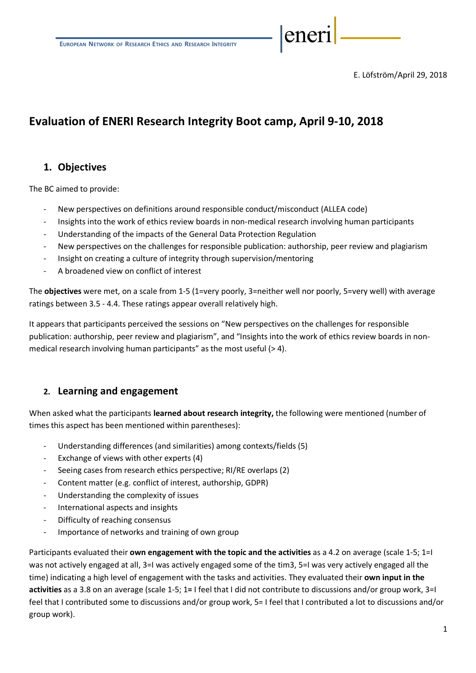E. Löfström/April 29, 2018

eneri

# **Evaluation of ENERI Research Integrity Boot camp, April 9-10, 2018**

# **1. Objectives**

The BC aimed to provide:

- New perspectives on definitions around responsible conduct/misconduct (ALLEA code)
- Insights into the work of ethics review boards in non-medical research involving human participants
- Understanding of the impacts of the General Data Protection Regulation
- New perspectives on the challenges for responsible publication: authorship, peer review and plagiarism
- Insight on creating a culture of integrity through supervision/mentoring
- A broadened view on conflict of interest

The **objectives** were met, on a scale from 1-5 (1=very poorly, 3=neither well nor poorly, 5=very well) with average ratings between 3.5 - 4.4. These ratings appear overall relatively high.

It appears that participants perceived the sessions on "New perspectives on the challenges for responsible publication: authorship, peer review and plagiarism", and "Insights into the work of ethics review boards in nonmedical research involving human participants" as the most useful (> 4).

# **2. Learning and engagement**

When asked what the participants **learned about research integrity,** the following were mentioned (number of times this aspect has been mentioned within parentheses):

- Understanding differences (and similarities) among contexts/fields (5)
- Exchange of views with other experts (4)
- Seeing cases from research ethics perspective; RI/RE overlaps (2)
- Content matter (e.g. conflict of interest, authorship, GDPR)
- Understanding the complexity of issues
- International aspects and insights
- Difficulty of reaching consensus
- Importance of networks and training of own group

Participants evaluated their **own engagement with the topic and the activities** as a 4.2 on average (scale 1-5; 1=I was not actively engaged at all, 3=I was actively engaged some of the tim3, 5=I was very actively engaged all the time) indicating a high level of engagement with the tasks and activities. They evaluated their **own input in the activities** as a 3.8 on an average (scale 1-5; 1**=** I feel that I did not contribute to discussions and/or group work, 3=I feel that I contributed some to discussions and/or group work, 5= I feel that I contributed a lot to discussions and/or group work).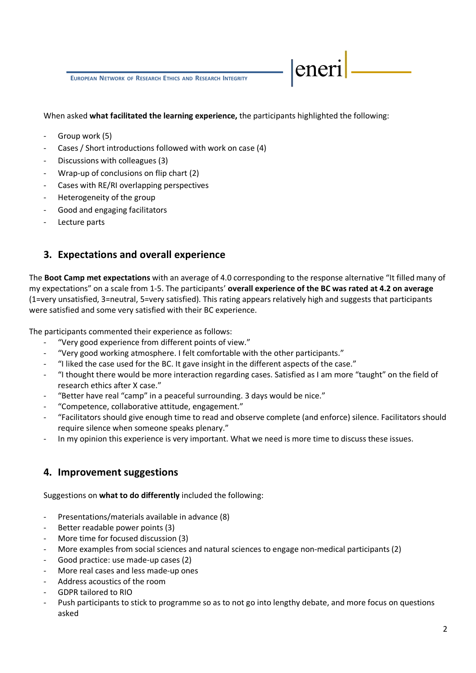**EUROPEAN NETWORK OF RESEARCH ETHICS AND RESEARCH INTEGRITY**

#### When asked **what facilitated the learning experience,** the participants highlighted the following:

eneri

- Group work (5)
- Cases / Short introductions followed with work on case (4)
- Discussions with colleagues (3)
- Wrap-up of conclusions on flip chart (2)
- Cases with RE/RI overlapping perspectives
- Heterogeneity of the group
- Good and engaging facilitators
- Lecture parts

# **3. Expectations and overall experience**

The **Boot Camp met expectations** with an average of 4.0 corresponding to the response alternative "It filled many of my expectations" on a scale from 1-5. The participants' **overall experience of the BC was rated at 4.2 on average**  (1=very unsatisfied, 3=neutral, 5=very satisfied). This rating appears relatively high and suggests that participants were satisfied and some very satisfied with their BC experience.

The participants commented their experience as follows:

- "Very good experience from different points of view."
- "Very good working atmosphere. I felt comfortable with the other participants."
- "I liked the case used for the BC. It gave insight in the different aspects of the case."
- "I thought there would be more interaction regarding cases. Satisfied as I am more "taught" on the field of research ethics after X case."
- "Better have real "camp" in a peaceful surrounding. 3 days would be nice."
- "Competence, collaborative attitude, engagement."
- "Facilitators should give enough time to read and observe complete (and enforce) silence. Facilitators should require silence when someone speaks plenary."
- In my opinion this experience is very important. What we need is more time to discuss these issues.

# **4. Improvement suggestions**

Suggestions on **what to do differently** included the following:

- Presentations/materials available in advance (8)
- Better readable power points (3)
- More time for focused discussion (3)
- More examples from social sciences and natural sciences to engage non-medical participants (2)
- Good practice: use made-up cases (2)
- More real cases and less made-up ones
- Address acoustics of the room
- GDPR tailored to RIO
- Push participants to stick to programme so as to not go into lengthy debate, and more focus on questions asked